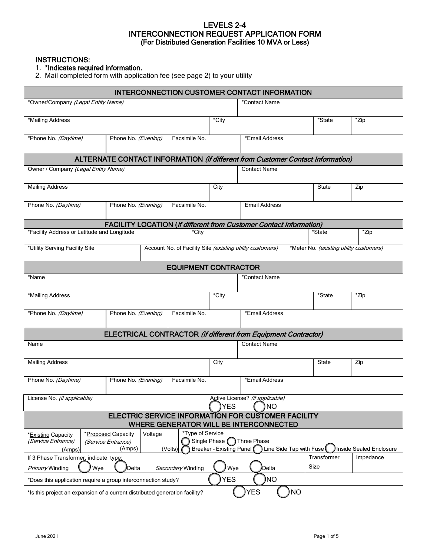### LEVELS 2-4 INTERCONNECTION REQUEST APPLICATION FORM (For Distributed Generation Facilities 10 MVA or Less)

INSTRUCTIONS:

### 1. \*Indicates required information.

2. Mail completed form with application fee (see page 2) to your utility

| <b>INTERCONNECTION CUSTOMER CONTACT INFORMATION</b>                         |                                                                                |                                                           |            |                                                                              |           |                                         |                         |  |
|-----------------------------------------------------------------------------|--------------------------------------------------------------------------------|-----------------------------------------------------------|------------|------------------------------------------------------------------------------|-----------|-----------------------------------------|-------------------------|--|
| *Owner/Company (Legal Entity Name)                                          |                                                                                |                                                           |            | *Contact Name                                                                |           |                                         |                         |  |
| *Mailing Address                                                            |                                                                                |                                                           | *City      |                                                                              |           | *State                                  | *Zip                    |  |
| *Phone No. (Daytime)                                                        | Phone No. (Evening)                                                            | Facsimile No.                                             |            | *Email Address                                                               |           |                                         |                         |  |
|                                                                             | ALTERNATE CONTACT INFORMATION (if different from Customer Contact Information) |                                                           |            |                                                                              |           |                                         |                         |  |
| Owner / Company (Legal Entity Name)                                         |                                                                                |                                                           |            | <b>Contact Name</b>                                                          |           |                                         |                         |  |
| <b>Mailing Address</b>                                                      |                                                                                |                                                           | City       |                                                                              |           | State                                   | Zip                     |  |
| Phone No. (Daytime)                                                         | Phone No. (Evening)                                                            | Facsimile No.                                             |            | <b>Email Address</b>                                                         |           |                                         |                         |  |
|                                                                             | <b>FACILITY LOCATION (if different from Customer Contact Information)</b>      |                                                           |            |                                                                              |           |                                         |                         |  |
| *Facility Address or Latitude and Longitude                                 |                                                                                | *City                                                     |            |                                                                              |           | *State                                  | *Zip                    |  |
| *Utility Serving Facility Site                                              |                                                                                | Account No. of Facility Site (existing utility customers) |            |                                                                              |           | *Meter No. (existing utility customers) |                         |  |
|                                                                             |                                                                                | <b>EQUIPMENT CONTRACTOR</b>                               |            |                                                                              |           |                                         |                         |  |
| *Name                                                                       |                                                                                |                                                           |            | *Contact Name                                                                |           |                                         |                         |  |
| *Mailing Address                                                            |                                                                                |                                                           | *City      |                                                                              |           | *State                                  | *Zip                    |  |
| *Phone No. (Daytime)                                                        | Phone No. (Evening)                                                            | Facsimile No.                                             |            | *Email Address                                                               |           |                                         |                         |  |
|                                                                             | <b>ELECTRICAL CONTRACTOR (if different from Equipment Contractor)</b>          |                                                           |            |                                                                              |           |                                         |                         |  |
| Name                                                                        |                                                                                |                                                           |            | <b>Contact Name</b>                                                          |           |                                         |                         |  |
| <b>Mailing Address</b>                                                      |                                                                                |                                                           | City       |                                                                              |           | State                                   | Zip                     |  |
| Phone No. (Daytime)                                                         | Phone No. (Evening)                                                            | Facsimile No.                                             |            | *Email Address                                                               |           |                                         |                         |  |
| License No. (if applicable)                                                 |                                                                                |                                                           | YES        | Active License? (if applicable)<br><b>NO</b>                                 |           |                                         |                         |  |
|                                                                             | ELECTRIC SERVICE INFORMATION FOR CUSTOMER FACILITY                             |                                                           |            |                                                                              |           |                                         |                         |  |
|                                                                             |                                                                                | *Type of Service                                          |            | WHERE GENERATOR WILL BE INTERCONNECTED                                       |           |                                         |                         |  |
| *Existing Capacity<br>(Service Entrance)<br>(Amps)                          | *Proposed Capacity<br>Voltage<br>(Service Entrance)<br>(Amps)                  | (Volts)                                                   |            | Single Phase nhree Phase<br>Breaker - Existing Panel Line Side Tap with Fuse |           |                                         | Inside Sealed Enclosure |  |
| If 3 Phase Transformer, indicate type:                                      |                                                                                |                                                           |            |                                                                              |           | Transformer                             | Impedance               |  |
| Wye<br>Primary Winding                                                      | <b>Delta</b>                                                                   | Secondary Winding                                         | Wye        | Delta                                                                        |           | Size                                    |                         |  |
| *Does this application require a group interconnection study?               |                                                                                |                                                           | <b>YES</b> | <b>NO</b>                                                                    |           |                                         |                         |  |
| *Is this project an expansion of a current distributed generation facility? |                                                                                |                                                           |            | <b>YES</b>                                                                   | <b>NO</b> |                                         |                         |  |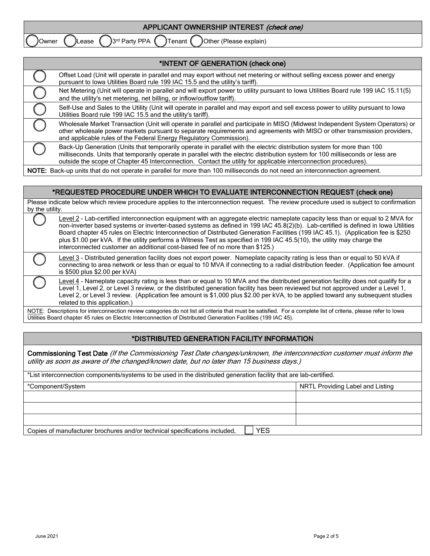| APPLICANT OWNERSHIP INTEREST (check one)                                  |
|---------------------------------------------------------------------------|
| 3rd Party PPA (<br>)Tenant (<br>Other (Please explain)<br>Lease<br>JOwner |
|                                                                           |

| *INTENT OF GENERATION (check one)                                                                                                                                                                                                                                                                                                                                             |
|-------------------------------------------------------------------------------------------------------------------------------------------------------------------------------------------------------------------------------------------------------------------------------------------------------------------------------------------------------------------------------|
| Offset Load (Unit will operate in parallel and may export without net metering or without selling excess power and energy<br>pursuant to lowa Utilities Board rule 199 IAC 15.5 and the utility's tariff).                                                                                                                                                                    |
| Net Metering (Unit will operate in parallel and will export power to utility pursuant to Iowa Utilities Board rule 199 IAC 15.11(5)<br>and the utility's net metering, net billing, or inflow/outflow tariff).                                                                                                                                                                |
| Self-Use and Sales to the Utility (Unit will operate in parallel and may export and sell excess power to utility pursuant to lowa<br>Utilities Board rule 199 IAC 15.5 and the utility's tariff).                                                                                                                                                                             |
| Wholesale Market Transaction (Unit will operate in parallel and participate in MISO (Midwest Independent System Operators) or<br>other wholesale power markets pursuant to separate requirements and agreements with MISO or other transmission providers,<br>and applicable rules of the Federal Energy Regulatory Commission).                                              |
| Back-Up Generation (Units that temporarily operate in parallel with the electric distribution system for more than 100<br>milliseconds. Units that temporarily operate in parallel with the electric distribution system for 100 milliseconds or less are<br>outside the scope of Chapter 45 Interconnection. Contact the utility for applicable interconnection procedures). |
| NOTE: Back-up units that do not operate in parallel for more than 100 milliseconds do not need an interconnection agreement.                                                                                                                                                                                                                                                  |

NOTE: Back-up units that do not operate in parallel for more than 100 milliseconds do not need an interconnection agreement.

#### \*REQUESTED PROCEDURE UNDER WHICH TO EVALUATE INTERCONNECTION REQUEST (check one)

Please indicate below which review procedure applies to the interconnection request. The review procedure used is subject to confirmation by the utility.

| Level 2 - Lab-certified interconnection equipment with an aggregate electric nameplate capacity less than or equal to 2 MVA for<br>non-inverter based systems or inverter-based systems as defined in 199 IAC 45.8(2)(b). Lab-certified is defined in lowa Utilities<br>Board chapter 45 rules on Electric Interconnection of Distributed Generation Facilities (199 IAC 45.1). (Application fee is \$250<br>plus \$1.00 per kVA. If the utility performs a Witness Test as specified in 199 IAC 45.5(10), the utility may charge the<br>interconnected customer an additional cost-based fee of no more than \$125.) |
|-----------------------------------------------------------------------------------------------------------------------------------------------------------------------------------------------------------------------------------------------------------------------------------------------------------------------------------------------------------------------------------------------------------------------------------------------------------------------------------------------------------------------------------------------------------------------------------------------------------------------|
| Level 3 - Distributed generation facility does not export power. Nameplate capacity rating is less than or equal to 50 kVA if<br>connecting to area network or less than or equal to 10 MVA if connecting to a radial distribution feeder. (Application fee amount<br>is $$500$ plus $$2.00$ per kVA)                                                                                                                                                                                                                                                                                                                 |
| Level 4 - Nameplate capacity rating is less than or equal to 10 MVA and the distributed generation facility does not qualify for a<br>Level 1, Level 2, or Level 3 review, or the distributed generation facility has been reviewed but not approved under a Level 1,<br>evel 2 or Level 3 review (Application fee amount is \$1,000 plus \$2,00 per kVA to be applied toward any subsequent studies                                                                                                                                                                                                                  |

<code>\pplication</code> fee amount is \$1,000 plus \$2.00 per kVA, to be applied toward any subsequent studies related to this application.)

NOTE: Descriptions for interconnection review categories do not list all criteria that must be satisfied. For a complete list of criteria, please refer to lowa Utilities Board chapter 45 rules on Electric Interconnection of Distributed Generation Facilities (199 IAC 45).

# \*DISTRIBUTED GENERATION FACILITY INFORMATION

Commissioning Test Date (If the Commissioning Test Date changes/unknown, the interconnection customer must inform the utility as soon as aware of the changed/known date, but no later than 15 business days.)

| *List interconnection components/systems to be used in the distributed generation facility that are lab-certified. |  |  |  |  |  |  |  |
|--------------------------------------------------------------------------------------------------------------------|--|--|--|--|--|--|--|
| NRTL Providing Label and Listing<br>*Component/System                                                              |  |  |  |  |  |  |  |
|                                                                                                                    |  |  |  |  |  |  |  |
|                                                                                                                    |  |  |  |  |  |  |  |
|                                                                                                                    |  |  |  |  |  |  |  |
| YES<br>Copies of manufacturer brochures and/or technical specifications included.                                  |  |  |  |  |  |  |  |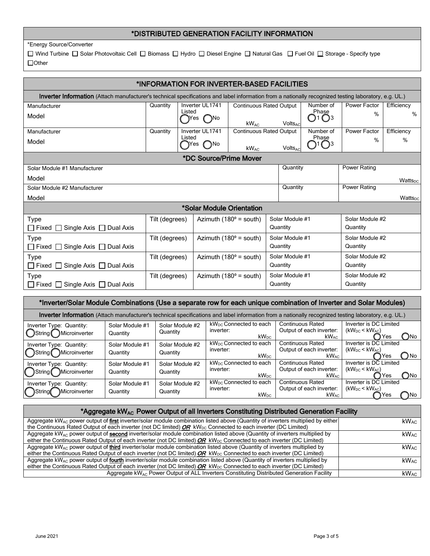## \*DISTRIBUTED GENERATION FACILITY INFORMATION

\*Energy Source/Converter

 $\Box$  Wind Turbine  $\Box$  Solar Photovoltaic Cell  $\Box$  Biomass  $\Box$  Hydro  $\Box$  Diesel Engine  $\Box$  Natural Gas  $\Box$  Fuel Oil  $\Box$  Storage - Specify type □Other

| *INFORMATION FOR INVERTER-BASED FACILITIES                                                                                                                   |                |        |                                      |                                      |                 |                      |                                    |                 |                     |  |
|--------------------------------------------------------------------------------------------------------------------------------------------------------------|----------------|--------|--------------------------------------|--------------------------------------|-----------------|----------------------|------------------------------------|-----------------|---------------------|--|
| <b>Inverter Information</b> (Attach manufacturer's technical specifications and label information from a nationally recognized testing laboratory, e.g. UL.) |                |        |                                      |                                      |                 |                      |                                    |                 |                     |  |
| Manufacturer                                                                                                                                                 | Quantity       |        | Inverter UL1741                      | <b>Continuous Rated Output</b>       |                 |                      | Number of                          | Power Factor    | Efficiency          |  |
| Model                                                                                                                                                        |                | Listed | ( )No<br>Yes                         | $kW_{AC}$                            |                 | VoltsAc              | Phase<br>$\bigcirc$ 1 $\bigcirc$ 3 | $\%$            | %                   |  |
| Manufacturer                                                                                                                                                 | Quantity       |        | Inverter UL1741                      | <b>Continuous Rated Output</b>       |                 |                      | Number of                          | Power Factor    | Efficiency          |  |
| Model                                                                                                                                                        |                | Listed | $\bigcap$ No<br>Yes                  | $kW_{AC}$                            |                 | VoltsAc              | Phase                              | $\%$            | $\%$                |  |
| *DC Source/Prime Mover                                                                                                                                       |                |        |                                      |                                      |                 |                      |                                    |                 |                     |  |
| Solar Module #1 Manufacturer                                                                                                                                 |                |        |                                      |                                      |                 | Quantity             |                                    | Power Rating    |                     |  |
| Model                                                                                                                                                        |                |        |                                      |                                      |                 |                      |                                    |                 | Wattspc             |  |
| Solar Module #2 Manufacturer                                                                                                                                 |                |        |                                      |                                      |                 | Quantity             |                                    | Power Rating    |                     |  |
| Model                                                                                                                                                        |                |        |                                      |                                      |                 |                      |                                    |                 | Watts <sub>pc</sub> |  |
|                                                                                                                                                              |                |        |                                      | *Solar Module Orientation            |                 |                      |                                    |                 |                     |  |
| <b>Type</b>                                                                                                                                                  | Tilt (degrees) |        |                                      | Azimuth ( $180^\circ$ = south)       |                 | Solar Module #1      |                                    | Solar Module #2 |                     |  |
| $\Box$ Fixed $\Box$ Single Axis $\Box$ Dual Axis                                                                                                             |                |        |                                      |                                      |                 | Quantity             |                                    | Quantity        |                     |  |
| Type                                                                                                                                                         | Tilt (degrees) |        |                                      | Azimuth $(180^\circ = \text{south})$ |                 | Solar Module #1      |                                    | Solar Module #2 |                     |  |
| $\Box$ Fixed $\Box$<br>Single Axis $\Box$ Dual Axis                                                                                                          |                |        |                                      |                                      |                 | Quantity             |                                    | Quantity        |                     |  |
| Tilt (degrees)<br><b>Type</b>                                                                                                                                |                |        | Azimuth $(180^\circ = \text{south})$ |                                      | Solar Module #1 |                      | Solar Module #2                    |                 |                     |  |
| $\Box$ Fixed $\Box$<br>Single Axis $\Box$ Dual Axis                                                                                                          |                |        |                                      |                                      |                 | Quantity             |                                    | Quantity        |                     |  |
| Type                                                                                                                                                         | Tilt (degrees) |        |                                      | Azimuth ( $180^\circ$ = south)       |                 | Solar Module #1      |                                    | Solar Module #2 |                     |  |
| $\Box$ Fixed $\Box$<br>Single Axis □ Dual Axis                                                                                                               |                |        |                                      |                                      |                 | Quantity<br>Quantity |                                    |                 |                     |  |

| *Inverter/Solar Module Combinations (Use a separate row for each unique combination of Inverter and Solar Modules)                                    |                             |                             |                                                                     |                                                                         |                                                                           |  |  |  |
|-------------------------------------------------------------------------------------------------------------------------------------------------------|-----------------------------|-----------------------------|---------------------------------------------------------------------|-------------------------------------------------------------------------|---------------------------------------------------------------------------|--|--|--|
| Inverter Information (Attach manufacturer's technical specifications and label information from a nationally recognized testing laboratory, e.g. UL.) |                             |                             |                                                                     |                                                                         |                                                                           |  |  |  |
| Inverter Type: Quantity:<br>String Microinverter                                                                                                      | Solar Module #1<br>Quantity | Solar Module #2<br>Quantity | kW <sub>DC</sub> Connected to each<br>inverter:<br>$kW_{DC}$        | <b>Continuous Rated</b><br>Output of each inverter:<br>$kW_{AC}$        | Inverter is DC Limited<br>$(kW_{DC}$ < $kW_{AC}$ )<br><b>C</b> )No<br>Yes |  |  |  |
| Inverter Type: Quantity:<br>)String Microinverter                                                                                                     | Solar Module #1<br>Quantity | Solar Module #2<br>Quantity | kW <sub>DC</sub> Connected to each<br>inverter:<br>kW <sub>DC</sub> | <b>Continuous Rated</b><br>Output of each inverter:<br>kW <sub>AC</sub> | Inverter is DC Limited<br>$(kW_{DC}$ < $kW_{AC}$ )<br>) No<br>Yes         |  |  |  |
| Inverter Type: Quantity:<br>Microinverter<br>)String (                                                                                                | Solar Module #1<br>Quantity | Solar Module #2<br>Quantity | kW <sub>DC</sub> Connected to each<br>inverter:<br>kW <sub>DC</sub> | <b>Continuous Rated</b><br>Output of each inverter:<br>kW <sub>AC</sub> | Inverter is DC Limited<br>$(kW_{DC}$ < $kW_{AC}$ )<br>$\bigcap$ No<br>Yes |  |  |  |
| Inverter Type: Quantity:<br>Microinverter                                                                                                             | Solar Module #1<br>Quantity | Solar Module #2<br>Quantity | kW <sub>DC</sub> Connected to each<br>inverter:<br>$kW_{DC}$        | <b>Continuous Rated</b><br>Output of each inverter:<br>kW <sub>AC</sub> | Inverter is DC Limited<br>$(kW_{DC}$ < $kW_{AC}$ )<br>Yes<br>) No         |  |  |  |

#### \*Aggregate kW<sub>AC</sub> Power Output of all Inverters Constituting Distributed Generation Facility

| Aggregate $kW_{AC}$ power output of first inverter/solar module combination listed above (Quantity of inverters multiplied by either)<br>the Continuous Rated Output of each inverter (not DC limited) $OR$ kW <sub>pc</sub> Connected to each inverter (DC Limited)               | <b>kWAC</b>             |
|------------------------------------------------------------------------------------------------------------------------------------------------------------------------------------------------------------------------------------------------------------------------------------|-------------------------|
| Aggregate kW <sub>AC</sub> power output of <b>second</b> inverter/solar module combination listed above (Quantity of inverters multiplied by<br>either the Continuous Rated Output of each inverter (not DC limited) $OR$ kW <sub>pc</sub> Connected to each inverter (DC Limited) | kW <sub>AC</sub>        |
| Aggregate $kW_{AC}$ power output of third inverter/solar module combination listed above (Quantity of inverters multiplied by<br>either the Continuous Rated Output of each inverter (not DC limited) $OR$ kW <sub>pc</sub> Connected to each inverter (DC Limited)                | <b>kW</b> <sub>AC</sub> |
| Aggregate $kW_{AC}$ power output of fourth inverter/solar module combination listed above (Quantity of inverters multiplied by<br>either the Continuous Rated Output of each inverter (not DC limited) $OR$ kW <sub>pc</sub> Connected to each inverter (DC Limited)               | kW <sub>AC</sub>        |
| Aggregate kWA <sub>C</sub> Power Output of ALL Inverters Constituting Distributed Generation Facility                                                                                                                                                                              | kW <sub>AC</sub>        |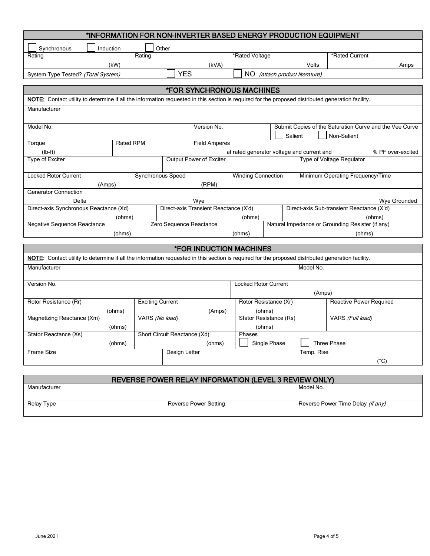| *INFORMATION FOR NON-INVERTER BASED ENERGY PRODUCTION EQUIPMENT                                                                                   |           |                              |                                                       |                                            |              |         |                                |                                                                        |
|---------------------------------------------------------------------------------------------------------------------------------------------------|-----------|------------------------------|-------------------------------------------------------|--------------------------------------------|--------------|---------|--------------------------------|------------------------------------------------------------------------|
| Synchronous<br>Induction                                                                                                                          |           | Other                        |                                                       |                                            |              |         |                                |                                                                        |
| Rating                                                                                                                                            |           | Rating                       |                                                       | *Rated Voltage                             |              |         |                                | *Rated Current                                                         |
|                                                                                                                                                   | (kW)      |                              | (kVA)                                                 |                                            |              |         | Volts                          | Amps                                                                   |
| System Type Tested? (Total System)                                                                                                                |           |                              | <b>YES</b>                                            |                                            |              |         | NO (attach product literature) |                                                                        |
|                                                                                                                                                   |           |                              |                                                       |                                            |              |         |                                |                                                                        |
|                                                                                                                                                   |           |                              | <b><i>*FOR SYNCHRONOUS MACHINES</i></b>               |                                            |              |         |                                |                                                                        |
| NOTE: Contact utility to determine if all the information requested in this section is required for the proposed distributed generation facility. |           |                              |                                                       |                                            |              |         |                                |                                                                        |
| Manufacturer                                                                                                                                      |           |                              |                                                       |                                            |              |         |                                |                                                                        |
| Model No.                                                                                                                                         |           |                              | Version No.                                           |                                            |              | Salient |                                | Submit Copies of the Saturation Curve and the Vee Curve<br>Non-Salient |
| Torque                                                                                                                                            | Rated RPM |                              | <b>Field Amperes</b>                                  |                                            |              |         |                                |                                                                        |
| $(lb-ft)$                                                                                                                                         |           |                              |                                                       | at rated generator voltage and current and |              |         |                                | % PF over-excited                                                      |
| <b>Type of Exciter</b>                                                                                                                            |           |                              | Output Power of Exciter                               |                                            |              |         |                                | Type of Voltage Regulator                                              |
| <b>Locked Rotor Current</b><br>(Amps)                                                                                                             |           | Synchronous Speed            | (RPM)                                                 | <b>Winding Connection</b>                  |              |         |                                | Minimum Operating Frequency/Time                                       |
| Generator Connection                                                                                                                              |           |                              |                                                       |                                            |              |         |                                |                                                                        |
| Delta                                                                                                                                             |           |                              | Wye                                                   |                                            |              |         |                                | Wye Grounded                                                           |
| Direct-axis Synchronous Reactance (Xd)                                                                                                            |           |                              | Direct-axis Transient Reactance (X'd)                 |                                            |              |         |                                | Direct-axis Sub-transient Reactance (X'd)                              |
|                                                                                                                                                   | (ohms)    |                              |                                                       | (ohms)                                     |              |         |                                | (ohms)                                                                 |
| Negative Sequence Reactance                                                                                                                       |           | Zero Sequence Reactance      |                                                       |                                            |              |         |                                | Natural Impedance or Grounding Resister (if any)                       |
|                                                                                                                                                   | (ohms)    |                              |                                                       | (ohms)                                     |              |         | (ohms)                         |                                                                        |
|                                                                                                                                                   |           |                              | <b><i>*FOR INDUCTION MACHINES</i></b>                 |                                            |              |         |                                |                                                                        |
| NOTE: Contact utility to determine if all the information requested in this section is required for the proposed distributed generation facility. |           |                              |                                                       |                                            |              |         |                                |                                                                        |
| Manufacturer                                                                                                                                      |           |                              |                                                       |                                            |              |         | Model No.                      |                                                                        |
| Version No.                                                                                                                                       |           |                              |                                                       | <b>Locked Rotor Current</b>                |              |         |                                |                                                                        |
|                                                                                                                                                   |           |                              |                                                       |                                            |              |         | (Amps)                         |                                                                        |
| Rotor Resistance (Rr)                                                                                                                             |           | <b>Exciting Current</b>      |                                                       | Rotor Resistance (Xr)                      |              |         |                                | Reactive Power Required                                                |
|                                                                                                                                                   | (ohms)    | VARS (No load)               | (Amps)                                                |                                            | (ohms)       |         |                                |                                                                        |
| Magnetizing Reactance (Xm)                                                                                                                        | (ohms)    |                              |                                                       | Stator Resistance (Rs)                     | (ohms)       |         |                                | VARS (Full load)                                                       |
| Stator Reactance (Xs)                                                                                                                             |           | Short Circuit Reactance (Xd) |                                                       | Phases                                     |              |         |                                |                                                                        |
|                                                                                                                                                   | (ohms)    |                              | (ohms)                                                |                                            | Single Phase |         |                                | <b>Three Phase</b>                                                     |
| <b>Frame Size</b>                                                                                                                                 |           | Design Letter                |                                                       |                                            |              |         | Temp. Rise                     |                                                                        |
|                                                                                                                                                   |           |                              |                                                       |                                            |              |         |                                | $(^{\circ}C)$                                                          |
|                                                                                                                                                   |           |                              |                                                       |                                            |              |         |                                |                                                                        |
|                                                                                                                                                   |           |                              | REVERSE POWER RELAY INFORMATION (LEVEL 3 REVIEW ONLY) |                                            |              |         |                                |                                                                        |

| Manufacturer |                       | Model No.                         |
|--------------|-----------------------|-----------------------------------|
|              |                       |                                   |
| Relay Type   | Reverse Power Setting | Reverse Power Time Delay (if any) |
|              |                       |                                   |